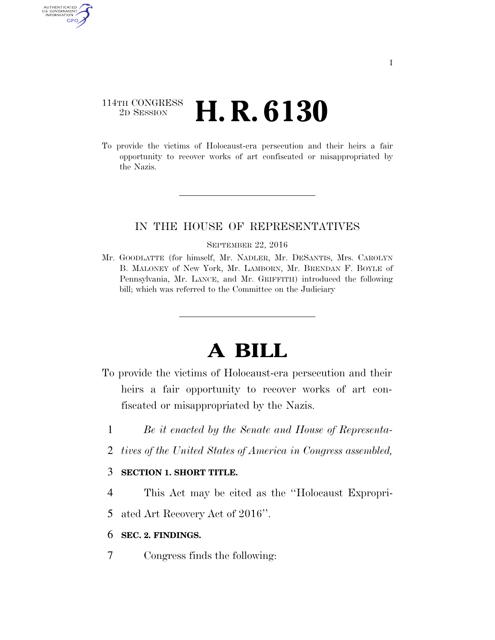## 114TH CONGRESS <sup>2D SESSION</sup> **H. R. 6130**

AUTHENTICATED U.S. GOVERNMENT GPO

> To provide the victims of Holocaust-era persecution and their heirs a fair opportunity to recover works of art confiscated or misappropriated by the Nazis.

### IN THE HOUSE OF REPRESENTATIVES

#### SEPTEMBER 22, 2016

Mr. GOODLATTE (for himself, Mr. NADLER, Mr. DESANTIS, Mrs. CAROLYN B. MALONEY of New York, Mr. LAMBORN, Mr. BRENDAN F. BOYLE of Pennsylvania, Mr. LANCE, and Mr. GRIFFITH) introduced the following bill; which was referred to the Committee on the Judiciary

# **A BILL**

- To provide the victims of Holocaust-era persecution and their heirs a fair opportunity to recover works of art confiscated or misappropriated by the Nazis.
	- 1 *Be it enacted by the Senate and House of Representa-*
	- 2 *tives of the United States of America in Congress assembled,*

### 3 **SECTION 1. SHORT TITLE.**

- 4 This Act may be cited as the ''Holocaust Expropri-
- 5 ated Art Recovery Act of 2016''.

### 6 **SEC. 2. FINDINGS.**

7 Congress finds the following: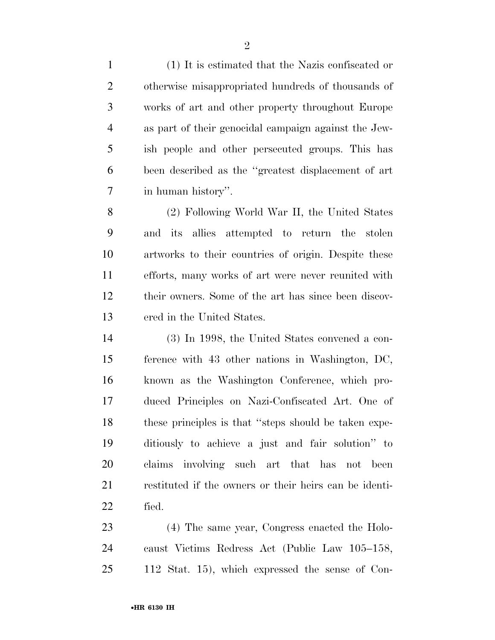(1) It is estimated that the Nazis confiscated or otherwise misappropriated hundreds of thousands of works of art and other property throughout Europe as part of their genocidal campaign against the Jew- ish people and other persecuted groups. This has been described as the ''greatest displacement of art in human history''.

 (2) Following World War II, the United States and its allies attempted to return the stolen artworks to their countries of origin. Despite these efforts, many works of art were never reunited with their owners. Some of the art has since been discov-ered in the United States.

 (3) In 1998, the United States convened a con- ference with 43 other nations in Washington, DC, known as the Washington Conference, which pro- duced Principles on Nazi-Confiscated Art. One of these principles is that ''steps should be taken expe- ditiously to achieve a just and fair solution'' to claims involving such art that has not been restituted if the owners or their heirs can be identi-fied.

 (4) The same year, Congress enacted the Holo- caust Victims Redress Act (Public Law 105–158, 112 Stat. 15), which expressed the sense of Con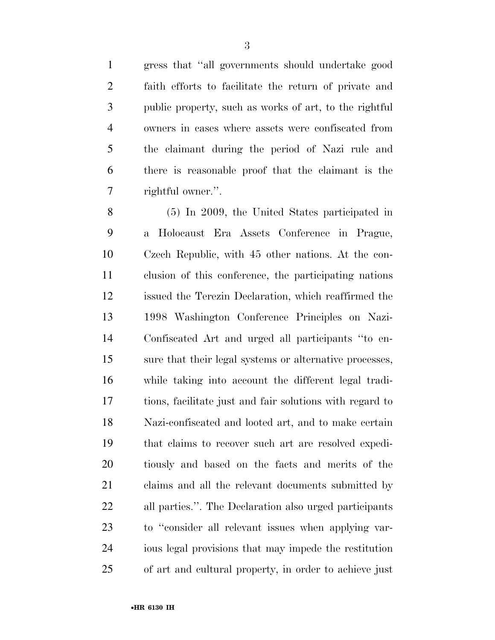gress that ''all governments should undertake good faith efforts to facilitate the return of private and public property, such as works of art, to the rightful owners in cases where assets were confiscated from the claimant during the period of Nazi rule and there is reasonable proof that the claimant is the rightful owner.''.

 (5) In 2009, the United States participated in a Holocaust Era Assets Conference in Prague, Czech Republic, with 45 other nations. At the con- clusion of this conference, the participating nations issued the Terezin Declaration, which reaffirmed the 1998 Washington Conference Principles on Nazi- Confiscated Art and urged all participants ''to en- sure that their legal systems or alternative processes, while taking into account the different legal tradi- tions, facilitate just and fair solutions with regard to Nazi-confiscated and looted art, and to make certain that claims to recover such art are resolved expedi- tiously and based on the facts and merits of the claims and all the relevant documents submitted by all parties.''. The Declaration also urged participants to ''consider all relevant issues when applying var- ious legal provisions that may impede the restitution of art and cultural property, in order to achieve just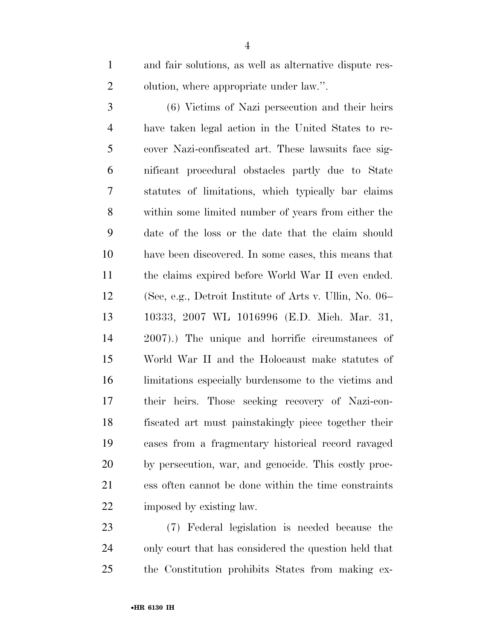and fair solutions, as well as alternative dispute res-olution, where appropriate under law.''.

 (6) Victims of Nazi persecution and their heirs have taken legal action in the United States to re- cover Nazi-confiscated art. These lawsuits face sig- nificant procedural obstacles partly due to State statutes of limitations, which typically bar claims within some limited number of years from either the date of the loss or the date that the claim should have been discovered. In some cases, this means that the claims expired before World War II even ended. (See, e.g., Detroit Institute of Arts v. Ullin, No. 06– 10333, 2007 WL 1016996 (E.D. Mich. Mar. 31, 2007).) The unique and horrific circumstances of World War II and the Holocaust make statutes of limitations especially burdensome to the victims and their heirs. Those seeking recovery of Nazi-con- fiscated art must painstakingly piece together their cases from a fragmentary historical record ravaged by persecution, war, and genocide. This costly proc- ess often cannot be done within the time constraints imposed by existing law.

 (7) Federal legislation is needed because the only court that has considered the question held that the Constitution prohibits States from making ex-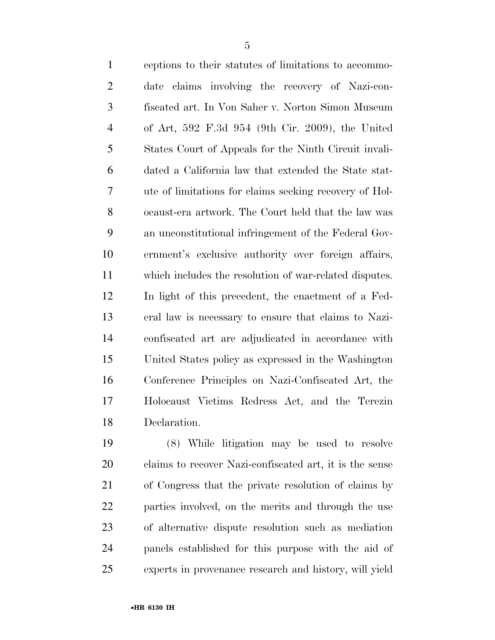| $\mathbf{1}$   | ceptions to their statutes of limitations to accommo-  |
|----------------|--------------------------------------------------------|
| $\mathfrak{2}$ | date claims involving the recovery of Nazi-con-        |
| 3              | fiscated art. In Von Saher v. Norton Simon Museum      |
| $\overline{4}$ | of Art, 592 F.3d 954 (9th Cir. 2009), the United       |
| 5              | States Court of Appeals for the Ninth Circuit invali-  |
| 6              | dated a California law that extended the State stat-   |
| $\overline{7}$ | ute of limitations for claims seeking recovery of Hol- |
| 8              | ocaust-era artwork. The Court held that the law was    |
| 9              | an unconstitutional infringement of the Federal Gov-   |
| 10             | ernment's exclusive authority over foreign affairs,    |
| 11             | which includes the resolution of war-related disputes. |
| 12             | In light of this precedent, the enactment of a Fed-    |
| 13             | eral law is necessary to ensure that claims to Nazi-   |
| 14             | confiscated art are adjudicated in accordance with     |
| 15             | United States policy as expressed in the Washington    |
| 16             | Conference Principles on Nazi-Confiscated Art, the     |
| 17             | Holocaust Victims Redress Act, and the Terezin         |
| 18             | Declaration.                                           |
|                |                                                        |

 (8) While litigation may be used to resolve claims to recover Nazi-confiscated art, it is the sense of Congress that the private resolution of claims by parties involved, on the merits and through the use of alternative dispute resolution such as mediation panels established for this purpose with the aid of experts in provenance research and history, will yield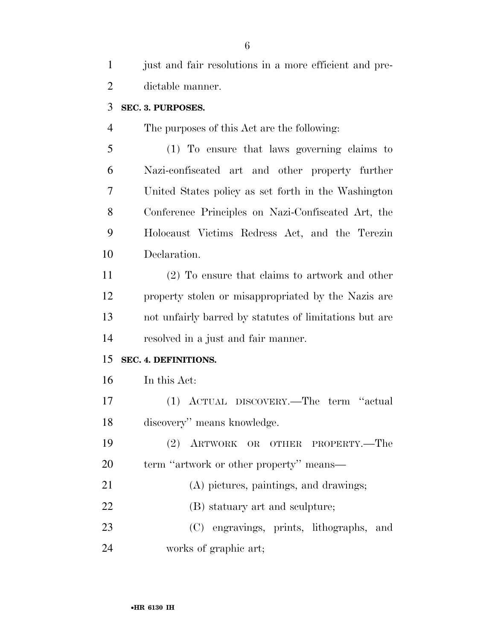| $\mathbf{1}$   | just and fair resolutions in a more efficient and pre- |
|----------------|--------------------------------------------------------|
| $\overline{2}$ | dictable manner.                                       |
| 3              | SEC. 3. PURPOSES.                                      |
| $\overline{4}$ | The purposes of this Act are the following:            |
| 5              | (1) To ensure that laws governing claims to            |
| 6              | Nazi-confiscated art and other property further        |
| 7              | United States policy as set forth in the Washington    |
| 8              | Conference Principles on Nazi-Confiscated Art, the     |
| 9              | Holocaust Victims Redress Act, and the Terezin         |
| 10             | Declaration.                                           |
| 11             | $(2)$ To ensure that claims to artwork and other       |
| 12             | property stolen or misappropriated by the Nazis are    |
| 13             | not unfairly barred by statutes of limitations but are |
| 14             | resolved in a just and fair manner.                    |
| 15             | SEC. 4. DEFINITIONS.                                   |
| 16             | In this Act:                                           |
| 17             | (1) ACTUAL DISCOVERY.—The term "actual                 |
| 18             | discovery" means knowledge.                            |
| 19             | ARTWORK OR OTHER PROPERTY.-The<br>(2)                  |
| 20             | term "artwork or other property" means—                |
| 21             | (A) pictures, paintings, and drawings;                 |
|                |                                                        |
| 22             | (B) statuary art and sculpture;                        |
| 23             | (C) engravings, prints, lithographs,<br>and            |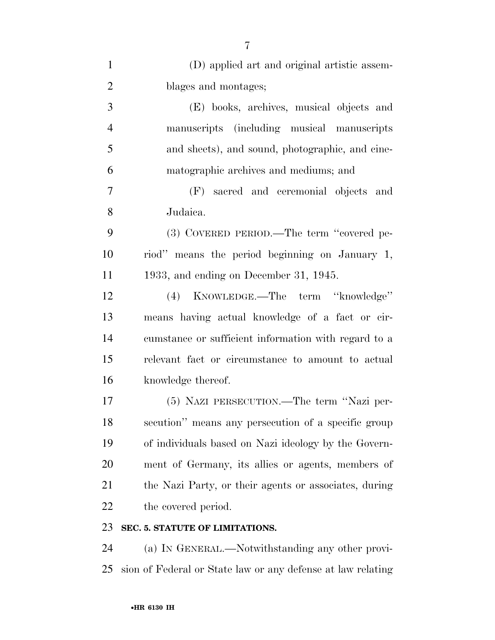| $\mathbf{1}$   | (D) applied art and original artistic assem-          |
|----------------|-------------------------------------------------------|
| $\overline{2}$ | blages and montages;                                  |
| 3              | (E) books, archives, musical objects and              |
| $\overline{4}$ | manuscripts (including musical manuscripts            |
| 5              | and sheets), and sound, photographic, and cine-       |
| 6              | matographic archives and mediums; and                 |
| $\overline{7}$ | (F) sacred and ceremonial objects and                 |
| 8              | Judaica.                                              |
| 9              | (3) COVERED PERIOD.—The term "covered pe-             |
| 10             | riod" means the period beginning on January 1,        |
| 11             | 1933, and ending on December 31, 1945.                |
| 12             | KNOWLEDGE.—The term "knowledge"<br>(4)                |
| 13             | means having actual knowledge of a fact or cir-       |
| 14             | cumstance or sufficient information with regard to a  |
| 15             | relevant fact or circumstance to amount to actual     |
| 16             | knowledge thereof.                                    |
| 17             | (5) NAZI PERSECUTION.—The term "Nazi per-             |
| 18             | secution" means any persecution of a specific group   |
| 19             | of individuals based on Nazi ideology by the Govern-  |
| 20             | ment of Germany, its allies or agents, members of     |
| 21             | the Nazi Party, or their agents or associates, during |
| 22             | the covered period.                                   |
| 23             | SEC. 5. STATUTE OF LIMITATIONS.                       |
| 24             | (a) IN GENERAL.—Notwithstanding any other provi-      |

sion of Federal or State law or any defense at law relating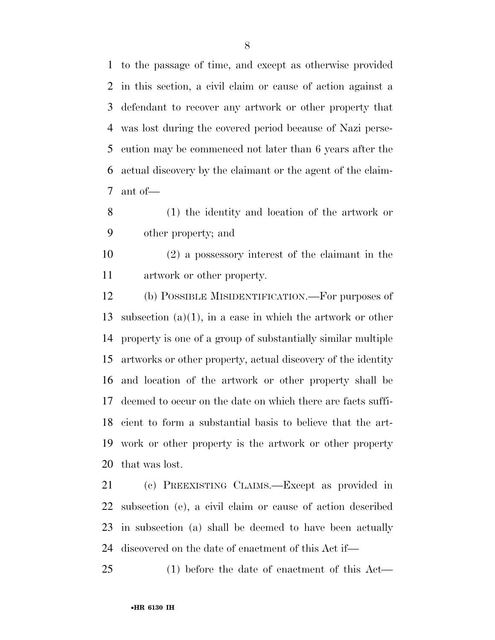to the passage of time, and except as otherwise provided in this section, a civil claim or cause of action against a defendant to recover any artwork or other property that was lost during the covered period because of Nazi perse- cution may be commenced not later than 6 years after the actual discovery by the claimant or the agent of the claim-ant of—

 (1) the identity and location of the artwork or other property; and

 (2) a possessory interest of the claimant in the artwork or other property.

 (b) POSSIBLE MISIDENTIFICATION.—For purposes of subsection (a)(1), in a case in which the artwork or other property is one of a group of substantially similar multiple artworks or other property, actual discovery of the identity and location of the artwork or other property shall be deemed to occur on the date on which there are facts suffi- cient to form a substantial basis to believe that the art- work or other property is the artwork or other property that was lost.

 (c) PREEXISTING CLAIMS.—Except as provided in subsection (e), a civil claim or cause of action described in subsection (a) shall be deemed to have been actually discovered on the date of enactment of this Act if—

(1) before the date of enactment of this Act—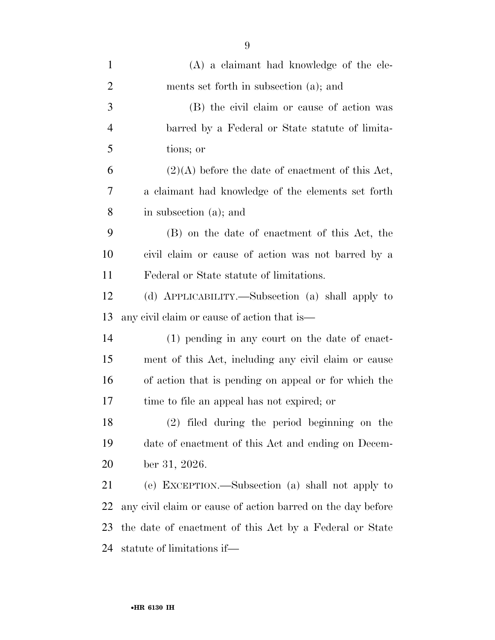| $\mathbf{1}$   | $(A)$ a claimant had knowledge of the ele-                  |
|----------------|-------------------------------------------------------------|
| $\overline{2}$ | ments set forth in subsection (a); and                      |
| 3              | (B) the civil claim or cause of action was                  |
| $\overline{4}$ | barred by a Federal or State statute of limita-             |
| 5              | tions; or                                                   |
| 6              | $(2)(A)$ before the date of enactment of this Act,          |
| 7              | a claimant had knowledge of the elements set forth          |
| 8              | in subsection (a); and                                      |
| 9              | (B) on the date of enactment of this Act, the               |
| 10             | civil claim or cause of action was not barred by a          |
| 11             | Federal or State statute of limitations.                    |
| 12             | (d) APPLICABILITY.—Subsection (a) shall apply to            |
| 13             | any civil claim or cause of action that is—                 |
| 14             | $(1)$ pending in any court on the date of enact-            |
| 15             | ment of this Act, including any civil claim or cause        |
| 16             | of action that is pending on appeal or for which the        |
| 17             | time to file an appeal has not expired; or                  |
| 18             | (2) filed during the period beginning on the                |
| 19             | date of enactment of this Act and ending on Decem-          |
| 20             | ber 31, 2026.                                               |
| 21             | (e) EXCEPTION.—Subsection (a) shall not apply to            |
| 22             | any civil claim or cause of action barred on the day before |
| 23             | the date of enactment of this Act by a Federal or State     |
| 24             | statute of limitations if—                                  |